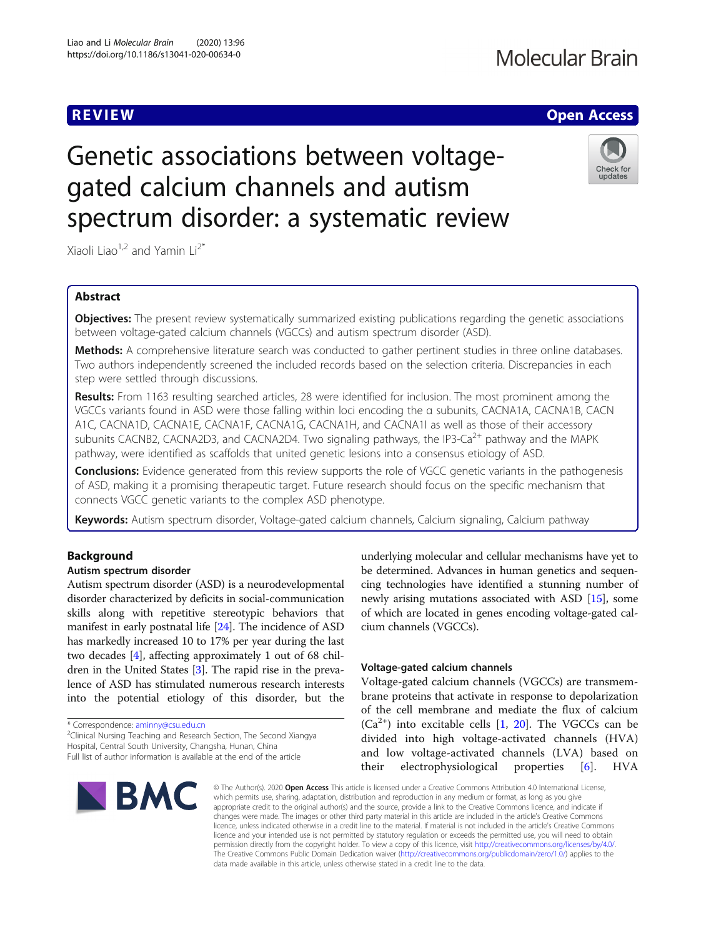# Molecular Brain

# **REVIEW ACCESS AND LOCAL CONTRACT CONTRACT OF ACCESS**

# Genetic associations between voltagegated calcium channels and autism spectrum disorder: a systematic review



Xiaoli Liao<sup>1,2</sup> and Yamin Li<sup>2\*</sup>

# Abstract

**Objectives:** The present review systematically summarized existing publications regarding the genetic associations between voltage-gated calcium channels (VGCCs) and autism spectrum disorder (ASD).

Methods: A comprehensive literature search was conducted to gather pertinent studies in three online databases. Two authors independently screened the included records based on the selection criteria. Discrepancies in each step were settled through discussions.

Results: From 1163 resulting searched articles, 28 were identified for inclusion. The most prominent among the VGCCs variants found in ASD were those falling within loci encoding the α subunits, CACNA1A, CACNA1B, CACN A1C, CACNA1D, CACNA1E, CACNA1F, CACNA1G, CACNA1H, and CACNA1I as well as those of their accessory subunits CACNB2, CACNA2D3, and CACNA2D4. Two signaling pathways, the IP3-Ca<sup>2+</sup> pathway and the MAPK pathway, were identified as scaffolds that united genetic lesions into a consensus etiology of ASD.

Conclusions: Evidence generated from this review supports the role of VGCC genetic variants in the pathogenesis of ASD, making it a promising therapeutic target. Future research should focus on the specific mechanism that connects VGCC genetic variants to the complex ASD phenotype.

Keywords: Autism spectrum disorder, Voltage-gated calcium channels, Calcium signaling, Calcium pathway

# Background

# Autism spectrum disorder

Autism spectrum disorder (ASD) is a neurodevelopmental disorder characterized by deficits in social-communication skills along with repetitive stereotypic behaviors that manifest in early postnatal life [[24](#page-9-0)]. The incidence of ASD has markedly increased 10 to 17% per year during the last two decades [[4](#page-8-0)], affecting approximately 1 out of 68 children in the United States [\[3\]](#page-8-0). The rapid rise in the prevalence of ASD has stimulated numerous research interests into the potential etiology of this disorder, but the

\* Correspondence: [aminny@csu.edu.cn](mailto:aminny@csu.edu.cn) <sup>2</sup>

<sup>2</sup>Clinical Nursing Teaching and Research Section, The Second Xiangya Hospital, Central South University, Changsha, Hunan, China

Full list of author information is available at the end of the article



underlying molecular and cellular mechanisms have yet to be determined. Advances in human genetics and sequencing technologies have identified a stunning number of newly arising mutations associated with ASD [[15](#page-9-0)], some of which are located in genes encoding voltage-gated calcium channels (VGCCs).

# Voltage-gated calcium channels

Voltage-gated calcium channels (VGCCs) are transmembrane proteins that activate in response to depolarization of the cell membrane and mediate the flux of calcium  $(Ca^{2+})$  into excitable cells [[1,](#page-8-0) [20](#page-9-0)]. The VGCCs can be divided into high voltage-activated channels (HVA) and low voltage-activated channels (LVA) based on their electrophysiological properties [[6\]](#page-8-0). HVA

© The Author(s), 2020 **Open Access** This article is licensed under a Creative Commons Attribution 4.0 International License, which permits use, sharing, adaptation, distribution and reproduction in any medium or format, as long as you give appropriate credit to the original author(s) and the source, provide a link to the Creative Commons licence, and indicate if changes were made. The images or other third party material in this article are included in the article's Creative Commons licence, unless indicated otherwise in a credit line to the material. If material is not included in the article's Creative Commons licence and your intended use is not permitted by statutory regulation or exceeds the permitted use, you will need to obtain permission directly from the copyright holder. To view a copy of this licence, visit [http://creativecommons.org/licenses/by/4.0/.](http://creativecommons.org/licenses/by/4.0/) The Creative Commons Public Domain Dedication waiver [\(http://creativecommons.org/publicdomain/zero/1.0/](http://creativecommons.org/publicdomain/zero/1.0/)) applies to the data made available in this article, unless otherwise stated in a credit line to the data.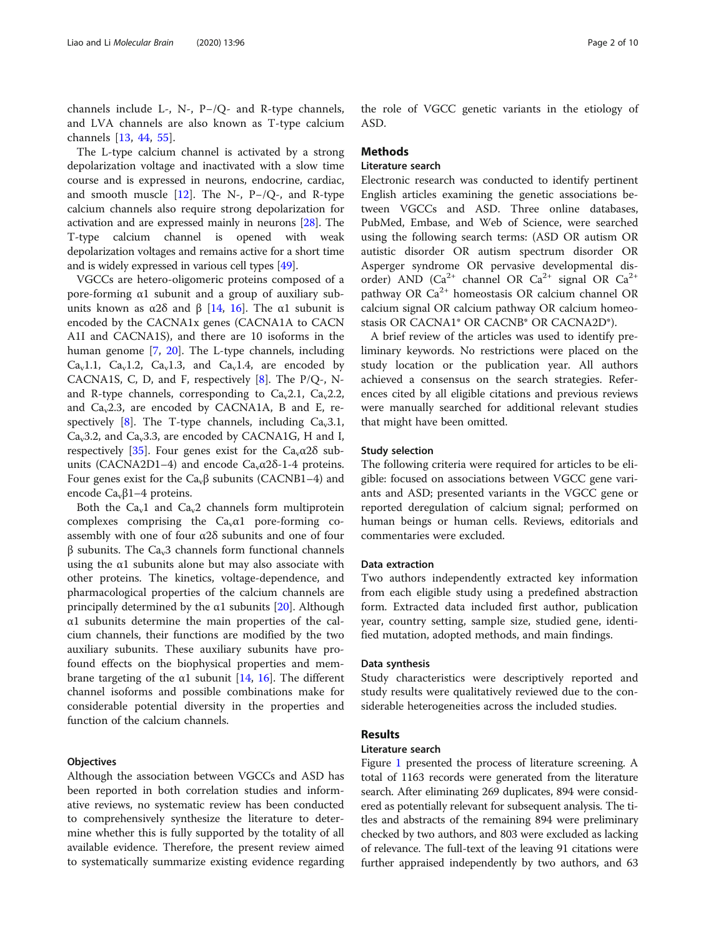channels include L-, N-, P−/Q- and R-type channels, and LVA channels are also known as T-type calcium channels [\[13](#page-8-0), [44](#page-9-0), [55\]](#page-9-0).

The L-type calcium channel is activated by a strong depolarization voltage and inactivated with a slow time course and is expressed in neurons, endocrine, cardiac, and smooth muscle [[12\]](#page-8-0). The N-, P-/Q-, and R-type calcium channels also require strong depolarization for activation and are expressed mainly in neurons [\[28\]](#page-9-0). The T-type calcium channel is opened with weak depolarization voltages and remains active for a short time and is widely expressed in various cell types [[49](#page-9-0)].

VGCCs are hetero-oligomeric proteins composed of a pore-forming α1 subunit and a group of auxiliary subunits known as  $\alpha$ 2δ and β [[14,](#page-8-0) [16](#page-9-0)]. The  $\alpha$ 1 subunit is encoded by the CACNA1x genes (CACNA1A to CACN A1I and CACNA1S), and there are 10 isoforms in the human genome [\[7,](#page-8-0) [20](#page-9-0)]. The L-type channels, including Ca<sub>v</sub>1.1, Ca<sub>v</sub>1.2, Ca<sub>v</sub>1.3, and Ca<sub>v</sub>1.4, are encoded by CACNA1S, C, D, and F, respectively  $[8]$  $[8]$ . The P/Q-, Nand R-type channels, corresponding to  $Ca<sub>v</sub>2.1$ ,  $Ca<sub>v</sub>2.2$ , and  $Ca<sub>v</sub>2.3$ , are encoded by CACNA1A, B and E, re-spectively [[8\]](#page-8-0). The T-type channels, including  $Ca<sub>v</sub>3.1$ ,  $Ca<sub>v</sub>3.2$ , and  $Ca<sub>v</sub>3.3$ , are encoded by CACNA1G, H and I, respectively [[35\]](#page-9-0). Four genes exist for the  $Ca<sub>v</sub> \alpha 2\delta$  subunits (CACNA2D1–4) and encode  $Ca<sub>v</sub>α2δ-1-4$  proteins. Four genes exist for the  $Ca<sub>v</sub>β$  subunits (CACNB1–4) and encode  $Ca_v\beta$ 1–4 proteins.

Both the  $Ca<sub>v</sub>1$  and  $Ca<sub>v</sub>2$  channels form multiprotein complexes comprising the  $Ca<sub>v</sub> \alpha$ 1 pore-forming coassembly with one of four α2δ subunits and one of four  $β$  subunits. The Ca<sub>v</sub>3 channels form functional channels using the  $\alpha$ 1 subunits alone but may also associate with other proteins. The kinetics, voltage-dependence, and pharmacological properties of the calcium channels are principally determined by the  $\alpha$ 1 subunits [\[20\]](#page-9-0). Although α1 subunits determine the main properties of the calcium channels, their functions are modified by the two auxiliary subunits. These auxiliary subunits have profound effects on the biophysical properties and mem-brane targeting of the α1 subunit [\[14,](#page-8-0) [16](#page-9-0)]. The different channel isoforms and possible combinations make for considerable potential diversity in the properties and function of the calcium channels.

#### **Objectives**

Although the association between VGCCs and ASD has been reported in both correlation studies and informative reviews, no systematic review has been conducted to comprehensively synthesize the literature to determine whether this is fully supported by the totality of all available evidence. Therefore, the present review aimed to systematically summarize existing evidence regarding

the role of VGCC genetic variants in the etiology of ASD.

# **Methods**

# Literature search

Electronic research was conducted to identify pertinent English articles examining the genetic associations between VGCCs and ASD. Three online databases, PubMed, Embase, and Web of Science, were searched using the following search terms: (ASD OR autism OR autistic disorder OR autism spectrum disorder OR Asperger syndrome OR pervasive developmental disorder) AND ( $Ca^{2+}$  channel OR  $Ca^{2+}$  signal OR  $Ca^{2+}$ pathway OR Ca<sup>2+</sup> homeostasis OR calcium channel OR calcium signal OR calcium pathway OR calcium homeostasis OR CACNA1\* OR CACNB\* OR CACNA2D\*).

A brief review of the articles was used to identify preliminary keywords. No restrictions were placed on the study location or the publication year. All authors achieved a consensus on the search strategies. References cited by all eligible citations and previous reviews were manually searched for additional relevant studies that might have been omitted.

### Study selection

The following criteria were required for articles to be eligible: focused on associations between VGCC gene variants and ASD; presented variants in the VGCC gene or reported deregulation of calcium signal; performed on human beings or human cells. Reviews, editorials and commentaries were excluded.

## Data extraction

Two authors independently extracted key information from each eligible study using a predefined abstraction form. Extracted data included first author, publication year, country setting, sample size, studied gene, identified mutation, adopted methods, and main findings.

#### Data synthesis

Study characteristics were descriptively reported and study results were qualitatively reviewed due to the considerable heterogeneities across the included studies.

# Results

### Literature search

Figure [1](#page-2-0) presented the process of literature screening. A total of 1163 records were generated from the literature search. After eliminating 269 duplicates, 894 were considered as potentially relevant for subsequent analysis. The titles and abstracts of the remaining 894 were preliminary checked by two authors, and 803 were excluded as lacking of relevance. The full-text of the leaving 91 citations were further appraised independently by two authors, and 63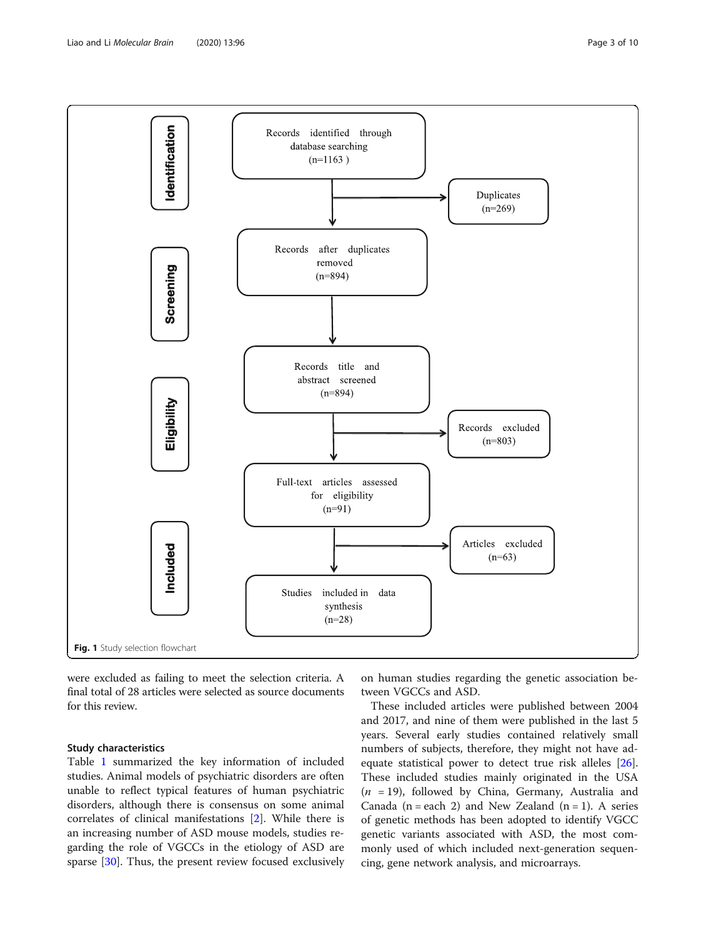<span id="page-2-0"></span>

were excluded as failing to meet the selection criteria. A final total of 28 articles were selected as source documents for this review.

# Study characteristics

Table [1](#page-3-0) summarized the key information of included studies. Animal models of psychiatric disorders are often unable to reflect typical features of human psychiatric disorders, although there is consensus on some animal correlates of clinical manifestations [\[2](#page-8-0)]. While there is an increasing number of ASD mouse models, studies regarding the role of VGCCs in the etiology of ASD are sparse [\[30](#page-9-0)]. Thus, the present review focused exclusively

on human studies regarding the genetic association between VGCCs and ASD.

These included articles were published between 2004 and 2017, and nine of them were published in the last 5 years. Several early studies contained relatively small numbers of subjects, therefore, they might not have adequate statistical power to detect true risk alleles [\[26](#page-9-0)]. These included studies mainly originated in the USA  $(n = 19)$ , followed by China, Germany, Australia and Canada ( $n =$ each 2) and New Zealand ( $n = 1$ ). A series of genetic methods has been adopted to identify VGCC genetic variants associated with ASD, the most commonly used of which included next-generation sequencing, gene network analysis, and microarrays.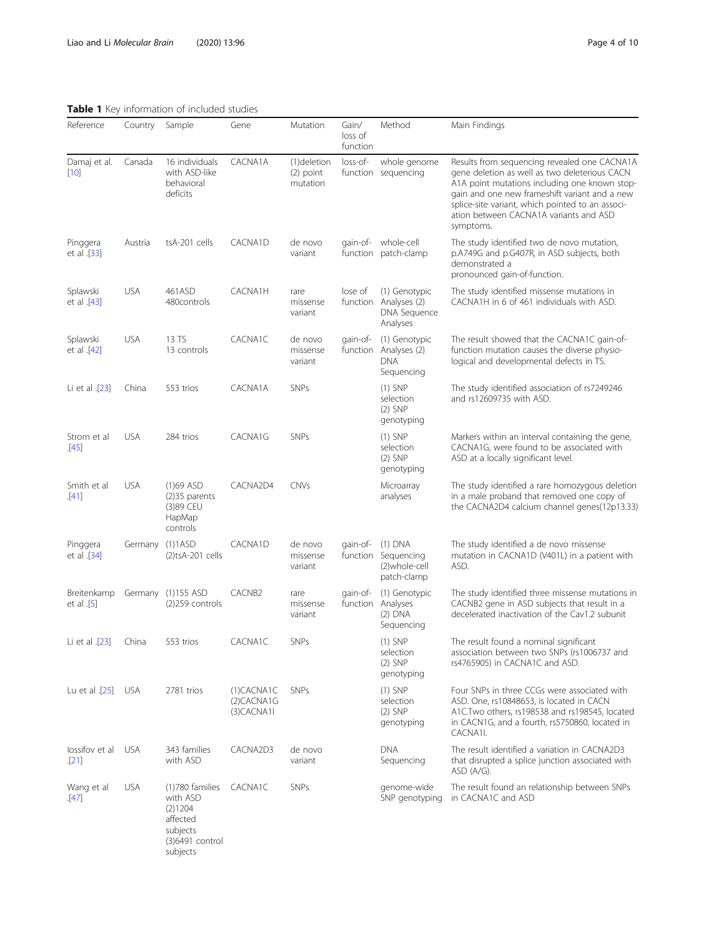<span id="page-3-0"></span>Table 1 Key information of included studies

| Reference                  | Country         | Sample                                                                                        | Gene                                      | Mutation                               | Gain/<br>loss of<br>function | Method                                                             | Main Findings                                                                                                                                                                                                                                                                                              |
|----------------------------|-----------------|-----------------------------------------------------------------------------------------------|-------------------------------------------|----------------------------------------|------------------------------|--------------------------------------------------------------------|------------------------------------------------------------------------------------------------------------------------------------------------------------------------------------------------------------------------------------------------------------------------------------------------------------|
| Damaj et al.<br>$[10]$     | Canada          | 16 individuals<br>with ASD-like<br>behavioral<br>deficits                                     | CACNA1A                                   | (1)deletion<br>$(2)$ point<br>mutation | loss-of-                     | whole genome<br>function sequencing                                | Results from sequencing revealed one CACNA1A<br>gene deletion as well as two deleterious CACN<br>A1A point mutations including one known stop-<br>gain and one new frameshift variant and a new<br>splice-site variant, which pointed to an associ-<br>ation between CACNA1A variants and ASD<br>symptoms. |
| Pinggera<br>et al .[33]    | Austria         | tsA-201 cells                                                                                 | CACNA1D                                   | de novo<br>variant                     |                              | gain-of- whole-cell<br>function patch-clamp                        | The study identified two de novo mutation,<br>p.A749G and p.G407R, in ASD subjects, both<br>demonstrated a<br>pronounced gain-of-function.                                                                                                                                                                 |
| Splawski<br>et al .[43]    | <b>USA</b>      | 461ASD<br>480controls                                                                         | CACNA1H                                   | rare<br>missense<br>variant            | lose of                      | (1) Genotypic<br>function Analyses (2)<br>DNA Sequence<br>Analyses | The study identified missense mutations in<br>CACNA1H in 6 of 461 individuals with ASD.                                                                                                                                                                                                                    |
| Splawski<br>et al .[42]    | <b>USA</b>      | 13 TS<br>13 controls                                                                          | CACNA1C                                   | de novo<br>missense<br>variant         | qain-of-                     | (1) Genotypic<br>function Analyses (2)<br><b>DNA</b><br>Sequencing | The result showed that the CACNA1C gain-of-<br>function mutation causes the diverse physio-<br>logical and developmental defects in TS.                                                                                                                                                                    |
| Li et al .[23]             | China           | 553 trios                                                                                     | CACNA1A                                   | <b>SNPs</b>                            |                              | $(1)$ SNP<br>selection<br>$(2)$ SNP<br>genotyping                  | The study identified association of rs7249246<br>and rs12609735 with ASD.                                                                                                                                                                                                                                  |
| Strom et al<br>$[45]$      | <b>USA</b>      | 284 trios                                                                                     | CACNA1G                                   | <b>SNPs</b>                            |                              | $(1)$ SNP<br>selection<br>$(2)$ SNP<br>genotyping                  | Markers within an interval containing the gene,<br>CACNA1G, were found to be associated with<br>ASD at a locally significant level.                                                                                                                                                                        |
| Smith et al<br>[41]        | <b>USA</b>      | $(1)69$ ASD<br>$(2)35$ parents<br>(3)89 CEU<br>HapMap<br>controls                             | CACNA2D4                                  | <b>CNVs</b>                            |                              | Microarray<br>analyses                                             | The study identified a rare homozygous deletion<br>in a male proband that removed one copy of<br>the CACNA2D4 calcium channel genes(12p13.33)                                                                                                                                                              |
| Pinggera<br>et al .[34]    | Germany (1)1ASD | $(2)$ tsA-201 cells                                                                           | CACNA1D                                   | de novo<br>missense<br>variant         | qain-of-                     | (1) DNA<br>function Sequencing<br>(2)whole-cell<br>patch-clamp     | The study identified a de novo missense<br>mutation in CACNA1D (V401L) in a patient with<br>ASD.                                                                                                                                                                                                           |
| Breitenkamp<br>et al $[5]$ |                 | Germany (1)155 ASD<br>$(2)$ 259 controls                                                      | CACNB <sub>2</sub>                        | rare<br>missense<br>variant            | qain-of-                     | (1) Genotypic<br>function Analyses<br>$(2)$ DNA<br>Sequencing      | The study identified three missense mutations in<br>CACNB2 gene in ASD subjects that result in a<br>decelerated inactivation of the Cav1.2 subunit                                                                                                                                                         |
| Li et al .[23]             | China           | 553 trios                                                                                     | CACNA1C                                   | <b>SNPs</b>                            |                              | $(1)$ SNP<br>selection<br>$(2)$ SNP<br>genotyping                  | The result found a nominal significant<br>association between two SNPs (rs1006737 and<br>rs4765905) in CACNA1C and ASD.                                                                                                                                                                                    |
| Lu et al .[25]             | <b>USA</b>      | 2781 trios                                                                                    | $(1)$ CACNA1C<br>(2)CACNA1G<br>(3)CACNA1I | <b>SNPs</b>                            |                              | $(1)$ SNP<br>selection<br>$(2)$ SNP<br>genotyping                  | Four SNPs in three CCGs were associated with<br>ASD. One, rs10848653, is located in CACN<br>A1C.Two others, rs198538 and rs198545, located<br>in CACN1G, and a fourth, rs5750860, located in<br>CACNA1I.                                                                                                   |
| lossifov et al<br>[21]     | <b>USA</b>      | 343 families<br>with ASD                                                                      | CACNA2D3                                  | de novo<br>variant                     |                              | <b>DNA</b><br>Sequencing                                           | The result identified a variation in CACNA2D3<br>that disrupted a splice junction associated with<br>ASD (A/G).                                                                                                                                                                                            |
| Wang et al<br>.[47]        | <b>USA</b>      | (1)780 families<br>with ASD<br>(2)1204<br>affected<br>subjects<br>(3)6491 control<br>subjects | CACNA1C                                   | <b>SNPs</b>                            |                              | genome-wide<br>SNP genotyping                                      | The result found an relationship between SNPs<br>in CACNA1C and ASD                                                                                                                                                                                                                                        |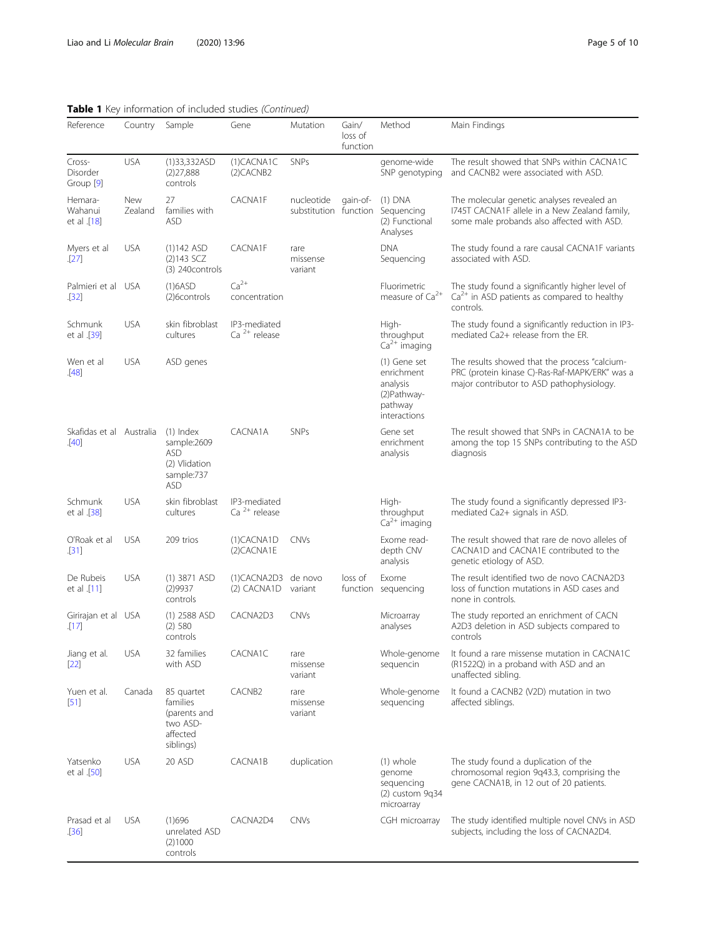# Table 1 Key information of included studies (Continued)

| Reference                         | Country        | Sample                                                                                | Gene                                     | Mutation                            | Gain/<br>loss of<br>function | Method                                                                            | Main Findings                                                                                                                                |
|-----------------------------------|----------------|---------------------------------------------------------------------------------------|------------------------------------------|-------------------------------------|------------------------------|-----------------------------------------------------------------------------------|----------------------------------------------------------------------------------------------------------------------------------------------|
| Cross-<br>Disorder<br>Group [9]   | <b>USA</b>     | (1)33,332ASD<br>(2)27,888<br>controls                                                 | (1)CACNA1C<br>$(2)$ CACNB2               | <b>SNPs</b>                         |                              | genome-wide<br>SNP genotyping                                                     | The result showed that SNPs within CACNA1C<br>and CACNB2 were associated with ASD.                                                           |
| Hemara-<br>Wahanui<br>et al .[18] | New<br>Zealand | 27<br>families with<br><b>ASD</b>                                                     | CACNA1F                                  | nucleotide<br>substitution function | qain-of-                     | $(1)$ DNA<br>Sequencing<br>(2) Functional<br>Analyses                             | The molecular genetic analyses revealed an<br>1745T CACNA1F allele in a New Zealand family,<br>some male probands also affected with ASD.    |
| Myers et al<br>[27]               | <b>USA</b>     | $(1)142$ ASD<br>$(2)143$ SCZ<br>(3) 240 controls                                      | CACNA1F                                  | rare<br>missense<br>variant         |                              | <b>DNA</b><br>Sequencing                                                          | The study found a rare causal CACNA1F variants<br>associated with ASD.                                                                       |
| Palmieri et al USA<br>[32]        |                | (1)6ASD<br>(2)6controls                                                               | $Ca2+$<br>concentration                  |                                     |                              | Fluorimetric<br>measure of Ca <sup>2+</sup>                                       | The study found a significantly higher level of<br>$Ca2+$ in ASD patients as compared to healthy<br>controls.                                |
| Schmunk<br>et al .[39]            | <b>USA</b>     | skin fibroblast<br>cultures                                                           | IP3-mediated<br>Ca <sup>2+</sup> release |                                     |                              | High-<br>throughput<br>$Ca2+$ imaging                                             | The study found a significantly reduction in IP3-<br>mediated Ca2+ release from the ER.                                                      |
| Wen et al<br>[48]                 | <b>USA</b>     | ASD genes                                                                             |                                          |                                     |                              | (1) Gene set<br>enrichment<br>analysis<br>(2) Pathway-<br>pathway<br>interactions | The results showed that the process "calcium-<br>PRC (protein kinase C)-Ras-Raf-MAPK/ERK" was a<br>major contributor to ASD pathophysiology. |
| Skafidas et al Australia<br>[40]  |                | $(1)$ Index<br>sample:2609<br><b>ASD</b><br>(2) Vlidation<br>sample:737<br><b>ASD</b> | CACNA1A                                  | <b>SNPs</b>                         |                              | Gene set<br>enrichment<br>analysis                                                | The result showed that SNPs in CACNA1A to be<br>among the top 15 SNPs contributing to the ASD<br>diagnosis                                   |
| Schmunk<br>et al .[38]            | <b>USA</b>     | skin fibroblast<br>cultures                                                           | IP3-mediated<br>Ca $2+$ release          |                                     |                              | High-<br>throughput<br>$Ca2+$ imaging                                             | The study found a significantly depressed IP3-<br>mediated Ca2+ signals in ASD.                                                              |
| O'Roak et al<br>[31]              | <b>USA</b>     | 209 trios                                                                             | (1)CACNA1D<br>(2)CACNA1E                 | <b>CNVs</b>                         |                              | Exome read-<br>depth CNV<br>analysis                                              | The result showed that rare de novo alleles of<br>CACNA1D and CACNA1E contributed to the<br>genetic etiology of ASD.                         |
| De Rubeis<br>et al .[11]          | <b>USA</b>     | $(1)$ 3871 ASD<br>(2)9937<br>controls                                                 | (1)CACNA2D3<br>(2) CACNA1D               | de novo<br>variant                  | loss of                      | Exome<br>function sequencing                                                      | The result identified two de novo CACNA2D3<br>loss of function mutations in ASD cases and<br>none in controls.                               |
| Girirajan et al USA<br>[17]       |                | $(1)$ 2588 ASD<br>(2) 580<br>controls                                                 | CACNA2D3                                 | <b>CNVs</b>                         |                              | Microarray<br>analyses                                                            | The study reported an enrichment of CACN<br>A2D3 deletion in ASD subjects compared to<br>controls                                            |
| Jiang et al.<br>$[22]$            | <b>USA</b>     | 32 families<br>with ASD                                                               | CACNA1C                                  | rare<br>missense<br>variant         |                              | Whole-genome<br>sequencin                                                         | It found a rare missense mutation in CACNA1C<br>(R1522Q) in a proband with ASD and an<br>unaffected sibling.                                 |
| Yuen et al.<br>$[51]$             | Canada         | 85 quartet<br>families<br>(parents and<br>two ASD-<br>affected<br>siblings)           | CACNB <sub>2</sub>                       | rare<br>missense<br>variant         |                              | Whole-genome<br>sequencing                                                        | It found a CACNB2 (V2D) mutation in two<br>affected siblings.                                                                                |
| Yatsenko<br>et al .[50]           | <b>USA</b>     | 20 ASD                                                                                | CACNA1B                                  | duplication                         |                              | (1) whole<br>genome<br>sequencing<br>$(2)$ custom 9q34<br>microarray              | The study found a duplication of the<br>chromosomal region 9q43.3, comprising the<br>gene CACNA1B, in 12 out of 20 patients.                 |
| Prasad et al<br>[36]              | <b>USA</b>     | (1)696<br>unrelated ASD<br>(2)1000<br>controls                                        | CACNA2D4                                 | <b>CNVs</b>                         |                              | CGH microarray                                                                    | The study identified multiple novel CNVs in ASD<br>subjects, including the loss of CACNA2D4.                                                 |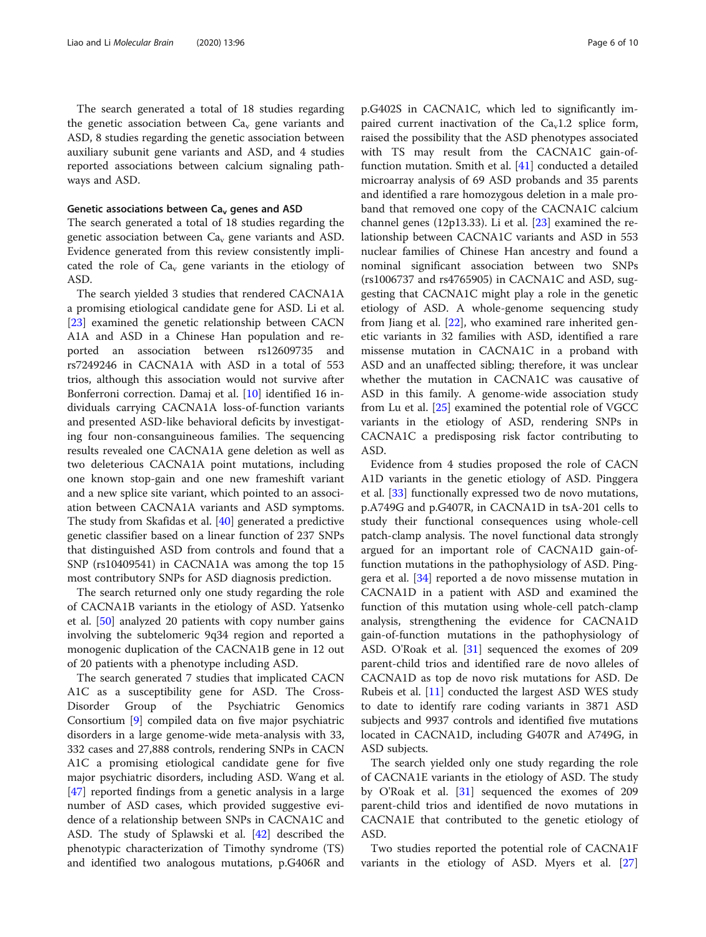The search generated a total of 18 studies regarding the genetic association between  $Ca<sub>v</sub>$  gene variants and ASD, 8 studies regarding the genetic association between auxiliary subunit gene variants and ASD, and 4 studies reported associations between calcium signaling pathways and ASD.

#### Genetic associations between  $Ca<sub>v</sub>$  genes and ASD

The search generated a total of 18 studies regarding the genetic association between  $Ca<sub>v</sub>$  gene variants and ASD. Evidence generated from this review consistently implicated the role of  $Ca<sub>v</sub>$  gene variants in the etiology of ASD.

The search yielded 3 studies that rendered CACNA1A a promising etiological candidate gene for ASD. Li et al. [[23\]](#page-9-0) examined the genetic relationship between CACN A1A and ASD in a Chinese Han population and reported an association between rs12609735 and rs7249246 in CACNA1A with ASD in a total of 553 trios, although this association would not survive after Bonferroni correction. Damaj et al. [[10\]](#page-8-0) identified 16 individuals carrying CACNA1A loss-of-function variants and presented ASD-like behavioral deficits by investigating four non-consanguineous families. The sequencing results revealed one CACNA1A gene deletion as well as two deleterious CACNA1A point mutations, including one known stop-gain and one new frameshift variant and a new splice site variant, which pointed to an association between CACNA1A variants and ASD symptoms. The study from Skafidas et al. [[40\]](#page-9-0) generated a predictive genetic classifier based on a linear function of 237 SNPs that distinguished ASD from controls and found that a SNP (rs10409541) in CACNA1A was among the top 15 most contributory SNPs for ASD diagnosis prediction.

The search returned only one study regarding the role of CACNA1B variants in the etiology of ASD. Yatsenko et al. [\[50\]](#page-9-0) analyzed 20 patients with copy number gains involving the subtelomeric 9q34 region and reported a monogenic duplication of the CACNA1B gene in 12 out of 20 patients with a phenotype including ASD.

The search generated 7 studies that implicated CACN A1C as a susceptibility gene for ASD. The Cross-Disorder Group of the Psychiatric Genomics Consortium [[9\]](#page-8-0) compiled data on five major psychiatric disorders in a large genome-wide meta-analysis with 33, 332 cases and 27,888 controls, rendering SNPs in CACN A1C a promising etiological candidate gene for five major psychiatric disorders, including ASD. Wang et al. [[47\]](#page-9-0) reported findings from a genetic analysis in a large number of ASD cases, which provided suggestive evidence of a relationship between SNPs in CACNA1C and ASD. The study of Splawski et al. [[42](#page-9-0)] described the phenotypic characterization of Timothy syndrome (TS) and identified two analogous mutations, p.G406R and p.G402S in CACNA1C, which led to significantly impaired current inactivation of the  $Ca<sub>v</sub>1.2$  splice form, raised the possibility that the ASD phenotypes associated with TS may result from the CACNA1C gain-offunction mutation. Smith et al. [[41](#page-9-0)] conducted a detailed microarray analysis of 69 ASD probands and 35 parents and identified a rare homozygous deletion in a male proband that removed one copy of the CACNA1C calcium channel genes (12p13.33). Li et al.  $[23]$  $[23]$  examined the relationship between CACNA1C variants and ASD in 553 nuclear families of Chinese Han ancestry and found a nominal significant association between two SNPs (rs1006737 and rs4765905) in CACNA1C and ASD, suggesting that CACNA1C might play a role in the genetic etiology of ASD. A whole-genome sequencing study from Jiang et al. [\[22](#page-9-0)], who examined rare inherited genetic variants in 32 families with ASD, identified a rare missense mutation in CACNA1C in a proband with ASD and an unaffected sibling; therefore, it was unclear whether the mutation in CACNA1C was causative of ASD in this family. A genome-wide association study from Lu et al. [[25](#page-9-0)] examined the potential role of VGCC variants in the etiology of ASD, rendering SNPs in CACNA1C a predisposing risk factor contributing to ASD.

Evidence from 4 studies proposed the role of CACN A1D variants in the genetic etiology of ASD. Pinggera et al. [[33\]](#page-9-0) functionally expressed two de novo mutations, p.A749G and p.G407R, in CACNA1D in tsA-201 cells to study their functional consequences using whole-cell patch-clamp analysis. The novel functional data strongly argued for an important role of CACNA1D gain-offunction mutations in the pathophysiology of ASD. Pinggera et al. [[34\]](#page-9-0) reported a de novo missense mutation in CACNA1D in a patient with ASD and examined the function of this mutation using whole-cell patch-clamp analysis, strengthening the evidence for CACNA1D gain-of-function mutations in the pathophysiology of ASD. O'Roak et al. [[31\]](#page-9-0) sequenced the exomes of 209 parent-child trios and identified rare de novo alleles of CACNA1D as top de novo risk mutations for ASD. De Rubeis et al. [[11\]](#page-8-0) conducted the largest ASD WES study to date to identify rare coding variants in 3871 ASD subjects and 9937 controls and identified five mutations located in CACNA1D, including G407R and A749G, in ASD subjects.

The search yielded only one study regarding the role of CACNA1E variants in the etiology of ASD. The study by O'Roak et al. [\[31](#page-9-0)] sequenced the exomes of 209 parent-child trios and identified de novo mutations in CACNA1E that contributed to the genetic etiology of ASD.

Two studies reported the potential role of CACNA1F variants in the etiology of ASD. Myers et al. [[27](#page-9-0)]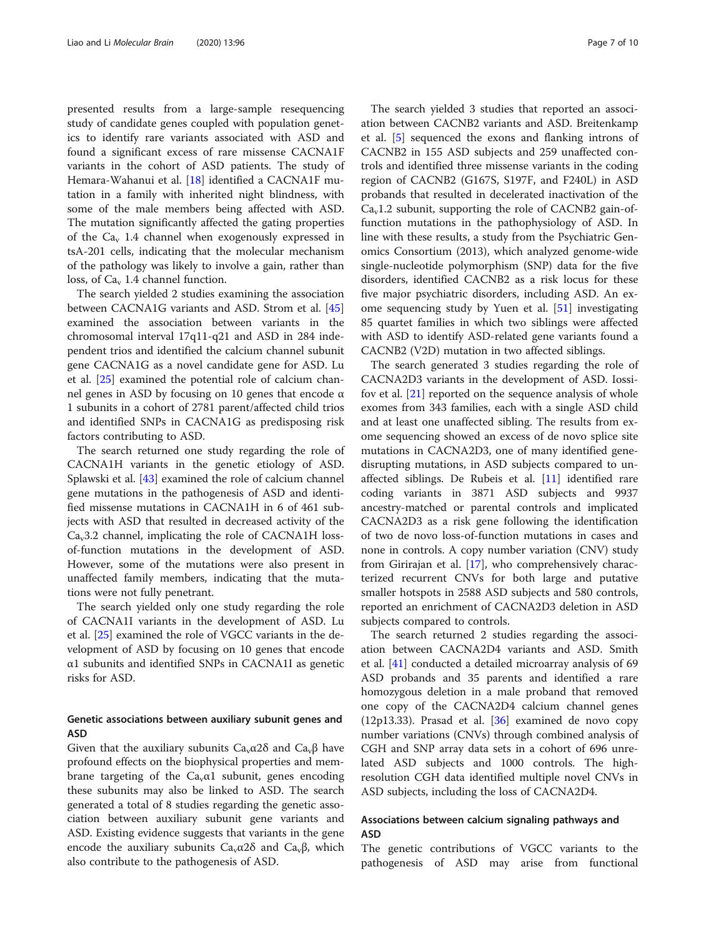presented results from a large-sample resequencing study of candidate genes coupled with population genetics to identify rare variants associated with ASD and found a significant excess of rare missense CACNA1F variants in the cohort of ASD patients. The study of Hemara-Wahanui et al. [[18\]](#page-9-0) identified a CACNA1F mutation in a family with inherited night blindness, with some of the male members being affected with ASD. The mutation significantly affected the gating properties of the  $Ca<sub>v</sub>$  1.4 channel when exogenously expressed in tsA-201 cells, indicating that the molecular mechanism of the pathology was likely to involve a gain, rather than loss, of  $Ca<sub>v</sub>$  1.4 channel function.

The search yielded 2 studies examining the association between CACNA1G variants and ASD. Strom et al. [[45](#page-9-0)] examined the association between variants in the chromosomal interval 17q11-q21 and ASD in 284 independent trios and identified the calcium channel subunit gene CACNA1G as a novel candidate gene for ASD. Lu et al. [\[25\]](#page-9-0) examined the potential role of calcium channel genes in ASD by focusing on 10 genes that encode α 1 subunits in a cohort of 2781 parent/affected child trios and identified SNPs in CACNA1G as predisposing risk factors contributing to ASD.

The search returned one study regarding the role of CACNA1H variants in the genetic etiology of ASD. Splawski et al. [[43](#page-9-0)] examined the role of calcium channel gene mutations in the pathogenesis of ASD and identified missense mutations in CACNA1H in 6 of 461 subjects with ASD that resulted in decreased activity of the  $Ca<sub>v</sub>3.2$  channel, implicating the role of CACNA1H lossof-function mutations in the development of ASD. However, some of the mutations were also present in unaffected family members, indicating that the mutations were not fully penetrant.

The search yielded only one study regarding the role of CACNA1I variants in the development of ASD. Lu et al. [\[25](#page-9-0)] examined the role of VGCC variants in the development of ASD by focusing on 10 genes that encode α1 subunits and identified SNPs in CACNA1I as genetic risks for ASD.

# Genetic associations between auxiliary subunit genes and ASD

Given that the auxiliary subunits  $Ca<sub>v</sub>α2δ$  and  $Ca<sub>v</sub>β$  have profound effects on the biophysical properties and membrane targeting of the  $Ca<sub>v</sub>α1$  subunit, genes encoding these subunits may also be linked to ASD. The search generated a total of 8 studies regarding the genetic association between auxiliary subunit gene variants and ASD. Existing evidence suggests that variants in the gene encode the auxiliary subunits  $Ca<sub>v</sub>a2\delta$  and  $Ca<sub>v</sub>\beta$ , which also contribute to the pathogenesis of ASD.

The search yielded 3 studies that reported an association between CACNB2 variants and ASD. Breitenkamp et al. [[5\]](#page-8-0) sequenced the exons and flanking introns of CACNB2 in 155 ASD subjects and 259 unaffected controls and identified three missense variants in the coding region of CACNB2 (G167S, S197F, and F240L) in ASD probands that resulted in decelerated inactivation of the  $Ca<sub>v</sub>1.2$  subunit, supporting the role of CACNB2 gain-offunction mutations in the pathophysiology of ASD. In line with these results, a study from the Psychiatric Genomics Consortium (2013), which analyzed genome-wide single-nucleotide polymorphism (SNP) data for the five disorders, identified CACNB2 as a risk locus for these five major psychiatric disorders, including ASD. An exome sequencing study by Yuen et al. [\[51\]](#page-9-0) investigating 85 quartet families in which two siblings were affected with ASD to identify ASD-related gene variants found a CACNB2 (V2D) mutation in two affected siblings.

The search generated 3 studies regarding the role of CACNA2D3 variants in the development of ASD. Iossifov et al. [[21\]](#page-9-0) reported on the sequence analysis of whole exomes from 343 families, each with a single ASD child and at least one unaffected sibling. The results from exome sequencing showed an excess of de novo splice site mutations in CACNA2D3, one of many identified genedisrupting mutations, in ASD subjects compared to unaffected siblings. De Rubeis et al. [\[11](#page-8-0)] identified rare coding variants in 3871 ASD subjects and 9937 ancestry-matched or parental controls and implicated CACNA2D3 as a risk gene following the identification of two de novo loss-of-function mutations in cases and none in controls. A copy number variation (CNV) study from Girirajan et al. [\[17\]](#page-9-0), who comprehensively characterized recurrent CNVs for both large and putative smaller hotspots in 2588 ASD subjects and 580 controls, reported an enrichment of CACNA2D3 deletion in ASD subjects compared to controls.

The search returned 2 studies regarding the association between CACNA2D4 variants and ASD. Smith et al. [[41\]](#page-9-0) conducted a detailed microarray analysis of 69 ASD probands and 35 parents and identified a rare homozygous deletion in a male proband that removed one copy of the CACNA2D4 calcium channel genes  $(12p13.33)$ . Prasad et al.  $[36]$  examined de novo copy number variations (CNVs) through combined analysis of CGH and SNP array data sets in a cohort of 696 unrelated ASD subjects and 1000 controls. The highresolution CGH data identified multiple novel CNVs in ASD subjects, including the loss of CACNA2D4.

# Associations between calcium signaling pathways and ASD

The genetic contributions of VGCC variants to the pathogenesis of ASD may arise from functional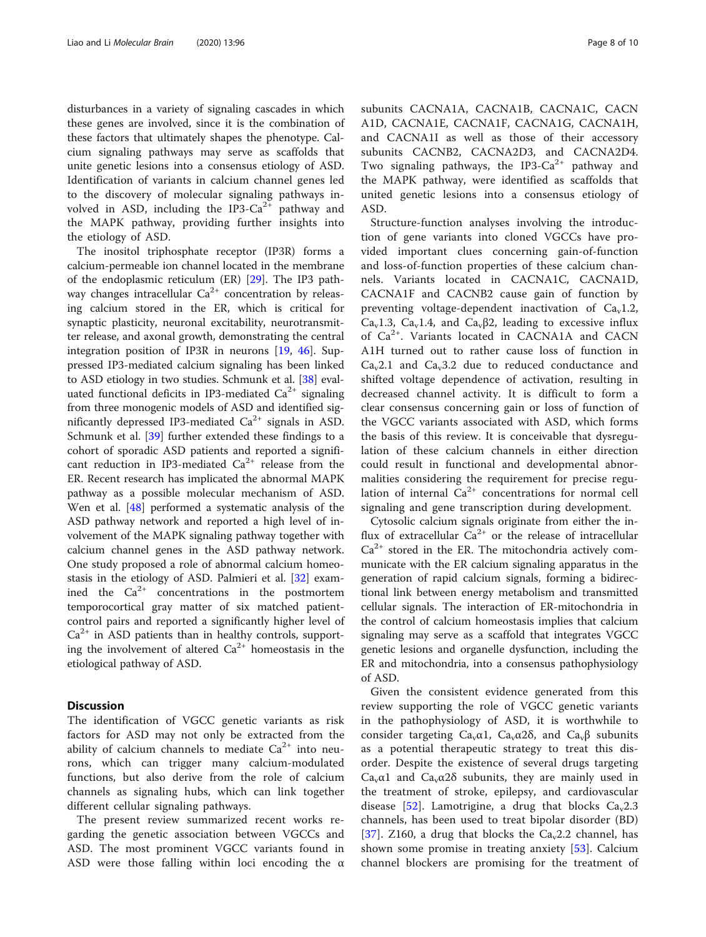disturbances in a variety of signaling cascades in which these genes are involved, since it is the combination of these factors that ultimately shapes the phenotype. Calcium signaling pathways may serve as scaffolds that unite genetic lesions into a consensus etiology of ASD. Identification of variants in calcium channel genes led to the discovery of molecular signaling pathways involved in ASD, including the IP3- $Ca^{2+}$  pathway and the MAPK pathway, providing further insights into the etiology of ASD.

The inositol triphosphate receptor (IP3R) forms a calcium-permeable ion channel located in the membrane of the endoplasmic reticulum (ER) [[29\]](#page-9-0). The IP3 pathway changes intracellular  $Ca^{2+}$  concentration by releasing calcium stored in the ER, which is critical for synaptic plasticity, neuronal excitability, neurotransmitter release, and axonal growth, demonstrating the central integration position of IP3R in neurons [[19,](#page-9-0) [46](#page-9-0)]. Suppressed IP3-mediated calcium signaling has been linked to ASD etiology in two studies. Schmunk et al. [\[38\]](#page-9-0) evaluated functional deficits in IP3-mediated  $Ca<sup>2+</sup>$  signaling from three monogenic models of ASD and identified significantly depressed IP3-mediated  $Ca^{2+}$  signals in ASD. Schmunk et al. [\[39](#page-9-0)] further extended these findings to a cohort of sporadic ASD patients and reported a significant reduction in IP3-mediated  $Ca^{2+}$  release from the ER. Recent research has implicated the abnormal MAPK pathway as a possible molecular mechanism of ASD. Wen et al. [[48](#page-9-0)] performed a systematic analysis of the ASD pathway network and reported a high level of involvement of the MAPK signaling pathway together with calcium channel genes in the ASD pathway network. One study proposed a role of abnormal calcium homeostasis in the etiology of ASD. Palmieri et al. [\[32](#page-9-0)] examined the  $Ca^{2+}$  concentrations in the postmortem temporocortical gray matter of six matched patientcontrol pairs and reported a significantly higher level of  $Ca<sup>2+</sup>$  in ASD patients than in healthy controls, supporting the involvement of altered  $Ca^{2+}$  homeostasis in the etiological pathway of ASD.

# **Discussion**

The identification of VGCC genetic variants as risk factors for ASD may not only be extracted from the ability of calcium channels to mediate  $Ca^{2+}$  into neurons, which can trigger many calcium-modulated functions, but also derive from the role of calcium channels as signaling hubs, which can link together different cellular signaling pathways.

The present review summarized recent works regarding the genetic association between VGCCs and ASD. The most prominent VGCC variants found in ASD were those falling within loci encoding the  $\alpha$  subunits CACNA1A, CACNA1B, CACNA1C, CACN A1D, CACNA1E, CACNA1F, CACNA1G, CACNA1H, and CACNA1I as well as those of their accessory subunits CACNB2, CACNA2D3, and CACNA2D4. Two signaling pathways, the IP3-Ca<sup>2+</sup> pathway and the MAPK pathway, were identified as scaffolds that united genetic lesions into a consensus etiology of ASD.

Structure-function analyses involving the introduction of gene variants into cloned VGCCs have provided important clues concerning gain-of-function and loss-of-function properties of these calcium channels. Variants located in CACNA1C, CACNA1D, CACNA1F and CACNB2 cause gain of function by preventing voltage-dependent inactivation of  $Ca<sub>v</sub>1.2$ , Ca<sub>v</sub>1.3, Ca<sub>v</sub>1.4, and Ca<sub>v</sub> $\beta$ 2, leading to excessive influx of Ca2+. Variants located in CACNA1A and CACN A1H turned out to rather cause loss of function in  $Ca<sub>v</sub>2.1$  and  $Ca<sub>v</sub>3.2$  due to reduced conductance and shifted voltage dependence of activation, resulting in decreased channel activity. It is difficult to form a clear consensus concerning gain or loss of function of the VGCC variants associated with ASD, which forms the basis of this review. It is conceivable that dysregulation of these calcium channels in either direction could result in functional and developmental abnormalities considering the requirement for precise regulation of internal  $Ca^{2+}$  concentrations for normal cell signaling and gene transcription during development.

Cytosolic calcium signals originate from either the influx of extracellular  $Ca^{2+}$  or the release of intracellular  $Ca<sup>2+</sup>$  stored in the ER. The mitochondria actively communicate with the ER calcium signaling apparatus in the generation of rapid calcium signals, forming a bidirectional link between energy metabolism and transmitted cellular signals. The interaction of ER-mitochondria in the control of calcium homeostasis implies that calcium signaling may serve as a scaffold that integrates VGCC genetic lesions and organelle dysfunction, including the ER and mitochondria, into a consensus pathophysiology of ASD.

Given the consistent evidence generated from this review supporting the role of VGCC genetic variants in the pathophysiology of ASD, it is worthwhile to consider targeting Ca<sub>v</sub> $\alpha$ 1, Ca<sub>v</sub> $\alpha$ 2 $\delta$ , and Ca<sub>v</sub> $\beta$  subunits as a potential therapeutic strategy to treat this disorder. Despite the existence of several drugs targeting Ca<sub>v</sub> $\alpha$ 1 and Ca<sub>v</sub> $\alpha$ 2 $\delta$  subunits, they are mainly used in the treatment of stroke, epilepsy, and cardiovascular disease [[52\]](#page-9-0). Lamotrigine, a drug that blocks  $Ca_v2.3$ channels, has been used to treat bipolar disorder (BD) [[37\]](#page-9-0). Z160, a drug that blocks the  $Ca<sub>v</sub>2.2$  channel, has shown some promise in treating anxiety [\[53](#page-9-0)]. Calcium channel blockers are promising for the treatment of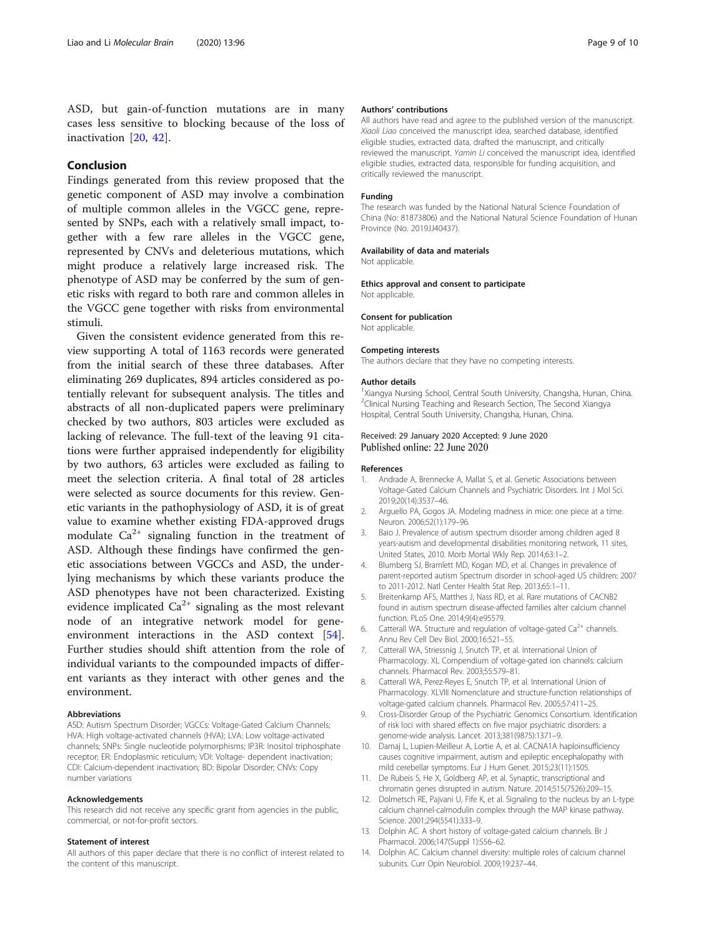<span id="page-8-0"></span>ASD, but gain-of-function mutations are in many cases less sensitive to blocking because of the loss of inactivation [[20,](#page-9-0) [42\]](#page-9-0).

# Conclusion

Findings generated from this review proposed that the genetic component of ASD may involve a combination of multiple common alleles in the VGCC gene, represented by SNPs, each with a relatively small impact, together with a few rare alleles in the VGCC gene, represented by CNVs and deleterious mutations, which might produce a relatively large increased risk. The phenotype of ASD may be conferred by the sum of genetic risks with regard to both rare and common alleles in the VGCC gene together with risks from environmental stimuli.

Given the consistent evidence generated from this review supporting A total of 1163 records were generated from the initial search of these three databases. After eliminating 269 duplicates, 894 articles considered as potentially relevant for subsequent analysis. The titles and abstracts of all non-duplicated papers were preliminary checked by two authors, 803 articles were excluded as lacking of relevance. The full-text of the leaving 91 citations were further appraised independently for eligibility by two authors, 63 articles were excluded as failing to meet the selection criteria. A final total of 28 articles were selected as source documents for this review. Genetic variants in the pathophysiology of ASD, it is of great value to examine whether existing FDA-approved drugs modulate  $Ca^{2+}$  signaling function in the treatment of ASD. Although these findings have confirmed the genetic associations between VGCCs and ASD, the underlying mechanisms by which these variants produce the ASD phenotypes have not been characterized. Existing evidence implicated  $Ca^{2+}$  signaling as the most relevant node of an integrative network model for geneenvironment interactions in the ASD context [\[54](#page-9-0)]. Further studies should shift attention from the role of individual variants to the compounded impacts of different variants as they interact with other genes and the environment.

#### Abbreviations

ASD: Autism Spectrum Disorder; VGCCs: Voltage-Gated Calcium Channels; HVA: High voltage-activated channels (HVA); LVA: Low voltage-activated channels; SNPs: Single nucleotide polymorphisms; IP3R: Inositol triphosphate receptor; ER: Endoplasmic reticulum; VDI: Voltage- dependent inactivation; CDI: Calcium-dependent inactivation; BD: Bipolar Disorder; CNVs: Copy number variations

#### Acknowledgements

This research did not receive any specific grant from agencies in the public, commercial, or not-for-profit sectors.

#### Statement of interest

All authors of this paper declare that there is no conflict of interest related to the content of this manuscript.

#### Authors' contributions

All authors have read and agree to the published version of the manuscript. Xiaoli Liao conceived the manuscript idea, searched database, identified eligible studies, extracted data, drafted the manuscript, and critically reviewed the manuscript. Yamin Li conceived the manuscript idea, identified eligible studies, extracted data, responsible for funding acquisition, and critically reviewed the manuscript.

#### Funding

The research was funded by the National Natural Science Foundation of China (No: 81873806) and the National Natural Science Foundation of Hunan Province (No. 2019JJ40437).

#### Availability of data and materials

Not applicable

Ethics approval and consent to participate Not applicable.

# Consent for publication

Not applicable.

#### Competing interests

The authors declare that they have no competing interests.

#### Author details

<sup>1</sup>Xiangya Nursing School, Central South University, Changsha, Hunan, China <sup>2</sup>Clinical Nursing Teaching and Research Section, The Second Xiangya Hospital, Central South University, Changsha, Hunan, China.

### Received: 29 January 2020 Accepted: 9 June 2020 Published online: 22 June 2020

#### References

- 1. Andrade A, Brennecke A, Mallat S, et al. Genetic Associations between Voltage-Gated Calcium Channels and Psychiatric Disorders. Int J Mol Sci. 2019;20(14):3537–46.
- 2. Arguello PA, Gogos JA. Modeling madness in mice: one piece at a time. Neuron. 2006;52(1):179–96.
- 3. Baio J. Prevalence of autism spectrum disorder among children aged 8 years-autism and developmental disabilities monitoring network, 11 sites, United States, 2010. Morb Mortal Wkly Rep. 2014;63:1–2.
- 4. Blumberg SJ, Bramlett MD, Kogan MD, et al. Changes in prevalence of parent-reported autism Spectrum disorder in school-aged US children: 2007 to 2011-2012. Natl Center Health Stat Rep. 2013;65:1–11.
- 5. Breitenkamp AFS, Matthes J, Nass RD, et al. Rare mutations of CACNB2 found in autism spectrum disease-affected families alter calcium channel function. PLoS One. 2014;9(4):e95579.
- 6. Catterall WA. Structure and regulation of voltage-gated  $Ca^{2+}$  channels. Annu Rev Cell Dev Biol. 2000;16:521–55.
- 7. Catterall WA, Striessnig J, Snutch TP, et al. International Union of Pharmacology. XL Compendium of voltage-gated ion channels: calcium channels. Pharmacol Rev. 2003;55:579–81.
- 8. Catterall WA, Perez-Reyes E, Snutch TP, et al. International Union of Pharmacology. XLVIII Nomenclature and structure-function relationships of voltage-gated calcium channels. Pharmacol Rev. 2005;57:411–25.
- 9. Cross-Disorder Group of the Psychiatric Genomics Consortium. Identification of risk loci with shared effects on five major psychiatric disorders: a genome-wide analysis. Lancet. 2013;381(9875):1371–9.
- 10. Damaj L, Lupien-Meilleur A, Lortie A, et al. CACNA1A haploinsufficiency causes cognitive impairment, autism and epileptic encephalopathy with mild cerebellar symptoms. Eur J Hum Genet. 2015;23(11):1505.
- 11. De Rubeis S, He X, Goldberg AP, et al. Synaptic, transcriptional and chromatin genes disrupted in autism. Nature. 2014;515(7526):209–15.
- 12. Dolmetsch RE, Pajvani U, Fife K, et al. Signaling to the nucleus by an L-type calcium channel-calmodulin complex through the MAP kinase pathway. Science. 2001;294(5541):333–9.
- 13. Dolphin AC. A short history of voltage-gated calcium channels. Br J Pharmacol. 2006;147(Suppl 1):S56–62.
- 14. Dolphin AC. Calcium channel diversity: multiple roles of calcium channel subunits. Curr Opin Neurobiol. 2009;19:237–44.